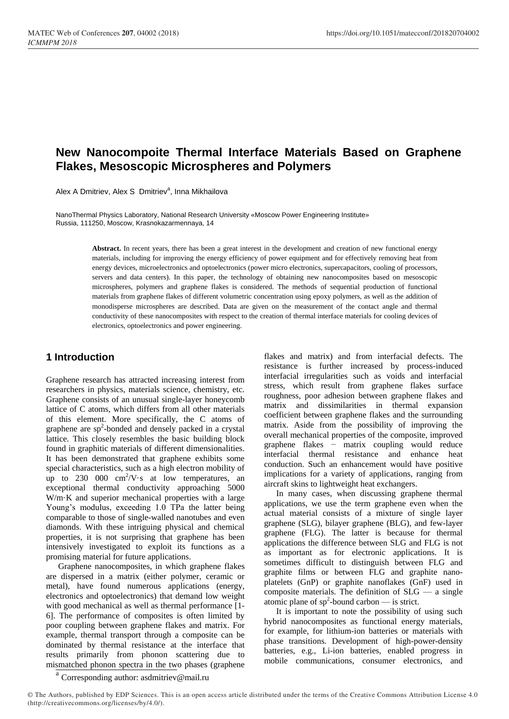# **New Nanocompoite Thermal Interface Materials Based on Graphene Flakes, Mesoscopic Microspheres and Polymers**

Alex A Dmitriev, Alex S Dmitriev<sup>a</sup>, Inna Mikhailova

NanoThermal Physics Laboratory, National Research University «Moscow Power Engineering Institute» Russia, 111250, Moscow, Krasnokazarmennaya, 14

> Abstract. In recent years, there has been a great interest in the development and creation of new functional energy materials, including for improving the energy efficiency of power equipment and for effectively removing heat from energy devices, microelectronics and optoelectronics (power micro electronics, supercapacitors, cooling of processors, servers and data centers). In this paper, the technology of obtaining new nanocomposites based on mesoscopic microspheres, polymers and graphene flakes is considered. The methods of sequential production of functional materials from graphene flakes of different volumetric concentration using epoxy polymers, as well as the addition of monodisperse microspheres are described. Data are given on the measurement of the contact angle and thermal conductivity of these nanocomposites with respect to the creation of thermal interface materials for cooling devices of electronics, optoelectronics and power engineering.

## **1 Introduction**

Graphene research has attracted increasing interest from researchers in physics, materials science, chemistry, etc. Graphene consists of an unusual single-layer honeycomb lattice of C atoms, which differs from all other materials of this element. More specifically, the C atoms of graphene are sp<sup>2</sup>-bonded and densely packed in a crystal lattice. This closely resembles the basic building block found in graphitic materials of different dimensionalities. It has been demonstrated that graphene exhibits some special characteristics, such as a high electron mobility of up to  $230\,000\,$  cm<sup>2</sup>/V s at low temperatures, an exceptional thermal conductivity approaching 5000 W/m K and superior mechanical properties with a large Young's modulus, exceeding 1.0 TPa the latter being comparable to those of single-walled nanotubes and even diamonds. With these intriguing physical and chemical properties, it is not surprising that graphene has been intensively investigated to exploit its functions as a promising material for future applications.

Graphene nanocomposites, in which graphene flakes are dispersed in a matrix (either polymer, ceramic or metal), have found numerous applications (energy, electronics and optoelectronics) that demand low weight with good mechanical as well as thermal performance [1-6]. The performance of composites is often limited by poor coupling between graphene flakes and matrix. For example, thermal transport through a composite can be dominated by thermal resistance at the interface that results primarily from phonon scattering due to mismatched phonon spectra in the two phases (graphene

flakes and matrix) and from interfacial defects. The resistance is further increased by process-induced interfacial irregularities such as voids and interfacial stress, which result from graphene flakes surface roughness, poor adhesion between graphene flakes and matrix and dissimilarities in thermal expansion coefficient between graphene flakes and the surrounding matrix. Aside from the possibility of improving the overall mechanical properties of the composite, improved graphene flakes − matrix coupling would reduce interfacial thermal resistance and enhance heat conduction. Such an enhancement would have positive implications for a variety of applications, ranging from aircraft skins to lightweight heat exchangers.

In many cases, when discussing graphene thermal applications, we use the term graphene even when the actual material consists of a mixture of single layer graphene (SLG), bilayer graphene (BLG), and few-layer graphene (FLG). The latter is because for thermal applications the difference between SLG and FLG is not as important as for electronic applications. It is sometimes difficult to distinguish between FLG and graphite films or between FLG and graphite nanoplatelets (GnP) or graphite nanoflakes (GnF) used in composite materials. The definition of  $SLG - a$  single atomic plane of  $sp^2$ -bound carbon — is strict.

It is important to note the possibility of using such hybrid nanocomposites as functional energy materials, for example, for lithium-ion batteries or materials with phase transitions. Development of high-power-density batteries, e.g., Li-ion batteries, enabled progress in mobile communications, consumer electronics, and

<sup>&</sup>lt;sup>a</sup> Corresponding author: asdmitriev@mail.ru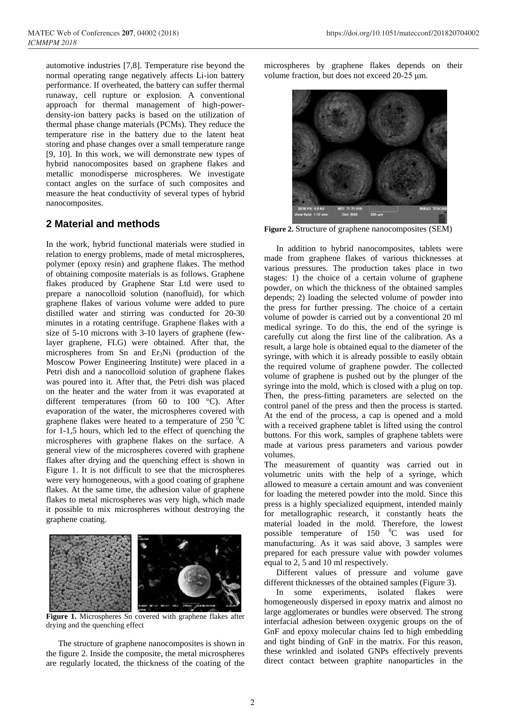automotive industries [7,8]. Temperature rise beyond the normal operating range negatively affects Li-ion battery performance. If overheated, the battery can suffer thermal runaway, cell rupture or explosion. A conventional approach for thermal management of high-powerdensity-ion battery packs is based on the utilization of thermal phase change materials (PCMs). They reduce the temperature rise in the battery due to the latent heat storing and phase changes over a small temperature range [9, 10]. In this work, we will demonstrate new types of hybrid nanocomposites based on graphene flakes and metallic monodisperse microspheres. We investigate contact angles on the surface of such composites and measure the heat conductivity of several types of hybrid nanocomposites.

### **2 Material and methods**

In the work, hybrid functional materials were studied in relation to energy problems, made of metal microspheres, polymer (epoxy resin) and graphene flakes. The method of obtaining composite materials is as follows. Graphene flakes produced by Graphene Star Ltd were used to prepare a nanocolloid solution (nanofluid), for which graphene flakes of various volume were added to pure distilled water and stirring was conducted for 20-30 minutes in a rotating centrifuge. Graphene flakes with a size of 5-10 microns with 3-10 layers of graphene (fewlayer graphene, FLG) were obtained. After that, the microspheres from Sn and Er3Ni (production of the Moscow Power Engineering Institute) were placed in a Petri dish and a nanocolloid solution of graphene flakes was poured into it. After that, the Petri dish was placed on the heater and the water from it was evaporated at different temperatures (from 60 to 100  $\degree$ C). After evaporation of the water, the microspheres covered with graphene flakes were heated to a temperature of  $250 \degree C$ for 1-1,5 hours, which led to the effect of quenching the microspheres with graphene flakes on the surface. A general view of the microspheres covered with graphene flakes after drying and the quenching effect is shown in Figure 1. It is not difficult to see that the microspheres were very homogeneous, with a good coating of graphene flakes. At the same time, the adhesion value of graphene flakes to metal microspheres was very high, which made it possible to mix microspheres without destroying the graphene coating.



**Figure 1.** Microspheres Sn covered with graphene flakes after drying and the quenching effect

The structure of graphene nanocomposites is shown in the figure 2. Inside the composite, the metal microspheres are regularly located, the thickness of the coating of the microspheres by graphene flakes depends on their volume fraction, but does not exceed 20-25 μm.



**Figure 2.** Structure of graphene nanocomposites (SEM)

In addition to hybrid nanocomposites, tablets were made from graphene flakes of various thicknesses at various pressures. The production takes place in two stages: 1) the choice of a certain volume of graphene powder, on which the thickness of the obtained samples depends; 2) loading the selected volume of powder into the press for further pressing. The choice of a certain volume of powder is carried out by a conventional 20 ml medical syringe. To do this, the end of the syringe is carefully cut along the first line of the calibration. As a result, a large hole is obtained equal to the diameter of the syringe, with which it is already possible to easily obtain the required volume of graphene powder. The collected volume of graphene is pushed out by the plunger of the syringe into the mold, which is closed with a plug on top. Then, the press-fitting parameters are selected on the control panel of the press and then the process is started. At the end of the process, a cap is opened and a mold with a received graphene tablet is lifted using the control buttons. For this work, samples of graphene tablets were made at various press parameters and various powder volumes.

The measurement of quantity was carried out in volumetric units with the help of a syringe, which allowed to measure a certain amount and was convenient for loading the metered powder into the mold. Since this press is a highly specialized equipment, intended mainly for metallographic research, it constantly heats the material loaded in the mold. Therefore, the lowest possible temperature of  $150 \degree$ C was used for manufacturing. As it was said above, 3 samples were prepared for each pressure value with powder volumes equal to 2, 5 and 10 ml respectively.

Different values of pressure and volume gave different thicknesses of the obtained samples (Figure 3).

In some experiments, isolated flakes were homogeneously dispersed in epoxy matrix and almost no large agglomerates or bundles were observed. The strong interfacial adhesion between oxygenic groups on the of GnF and epoxy molecular chains led to high embedding and tight binding of GnF in the matrix. For this reason, these wrinkled and isolated GNPs effectively prevents direct contact between graphite nanoparticles in the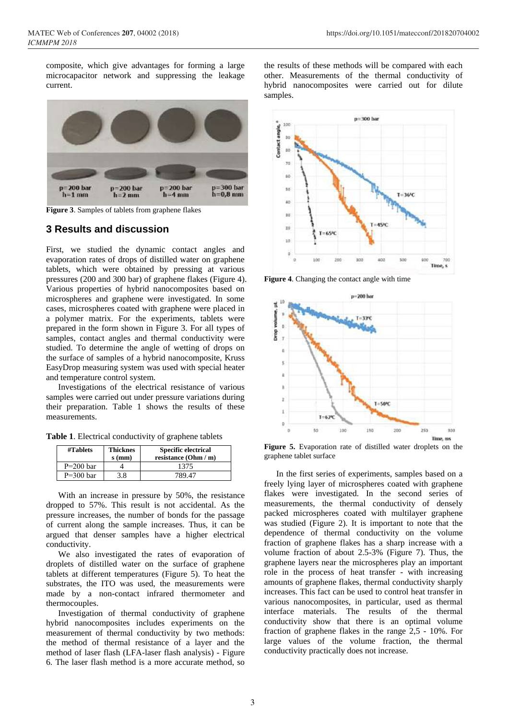composite, which give advantages for forming a large microcapacitor network and suppressing the leakage current.



**Figure 3**. Samples of tablets from graphene flakes

### **3 Results and discussion**

First, we studied the dynamic contact angles and evaporation rates of drops of distilled water on graphene tablets, which were obtained by pressing at various pressures (200 and 300 bar) of graphene flakes (Figure 4). Various properties of hybrid nanocomposites based on microspheres and graphene were investigated. In some cases, microspheres coated with graphene were placed in a polymer matrix. For the experiments, tablets were prepared in the form shown in Figure 3. For all types of samples, contact angles and thermal conductivity were studied. To determine the angle of wetting of drops on the surface of samples of a hybrid nanocomposite, Kruss EasyDrop measuring system was used with special heater and temperature control system.

Investigations of the electrical resistance of various samples were carried out under pressure variations during their preparation. Table 1 shows the results of these measurements.

**Table 1**. Electrical conductivity of graphene tablets

| #Tablets    | <b>Thicknes</b><br>$s$ (mm) | <b>Specific electrical</b><br>resistance (Ohm / m) |
|-------------|-----------------------------|----------------------------------------------------|
| $P=200$ bar |                             | 1375                                               |
| $P=300$ bar | 3.8                         | 789 47                                             |

With an increase in pressure by 50%, the resistance dropped to 57%. This result is not accidental. As the pressure increases, the number of bonds for the passage of current along the sample increases. Thus, it can be argued that denser samples have a higher electrical conductivity.

We also investigated the rates of evaporation of droplets of distilled water on the surface of graphene tablets at different temperatures (Figure 5). To heat the substrates, the ITO was used, the measurements were made by a non-contact infrared thermometer and thermocouples.

Investigation of thermal conductivity of graphene hybrid nanocomposites includes experiments on the measurement of thermal conductivity by two methods: the method of thermal resistance of a layer and the method of laser flash (LFA-laser flash analysis) - Figure 6. The laser flash method is a more accurate method, so

the results of these methods will be compared with each other. Measurements of the thermal conductivity of hybrid nanocomposites were carried out for dilute samples.



**Figure 4**. Changing the contact angle with time



**Figure 5.** Evaporation rate of distilled water droplets on the graphene tablet surface

In the first series of experiments, samples based on a freely lying layer of microspheres coated with graphene flakes were investigated. In the second series of measurements, the thermal conductivity of densely packed microspheres coated with multilayer graphene was studied (Figure 2). It is important to note that the dependence of thermal conductivity on the volume fraction of graphene flakes has a sharp increase with a volume fraction of about 2.5-3% (Figure 7). Thus, the graphene layers near the microspheres play an important role in the process of heat transfer - with increasing amounts of graphene flakes, thermal conductivity sharply increases. This fact can be used to control heat transfer in various nanocomposites, in particular, used as thermal interface materials. The results of the thermal conductivity show that there is an optimal volume fraction of graphene flakes in the range 2,5 - 10%. For large values of the volume fraction, the thermal conductivity practically does not increase.